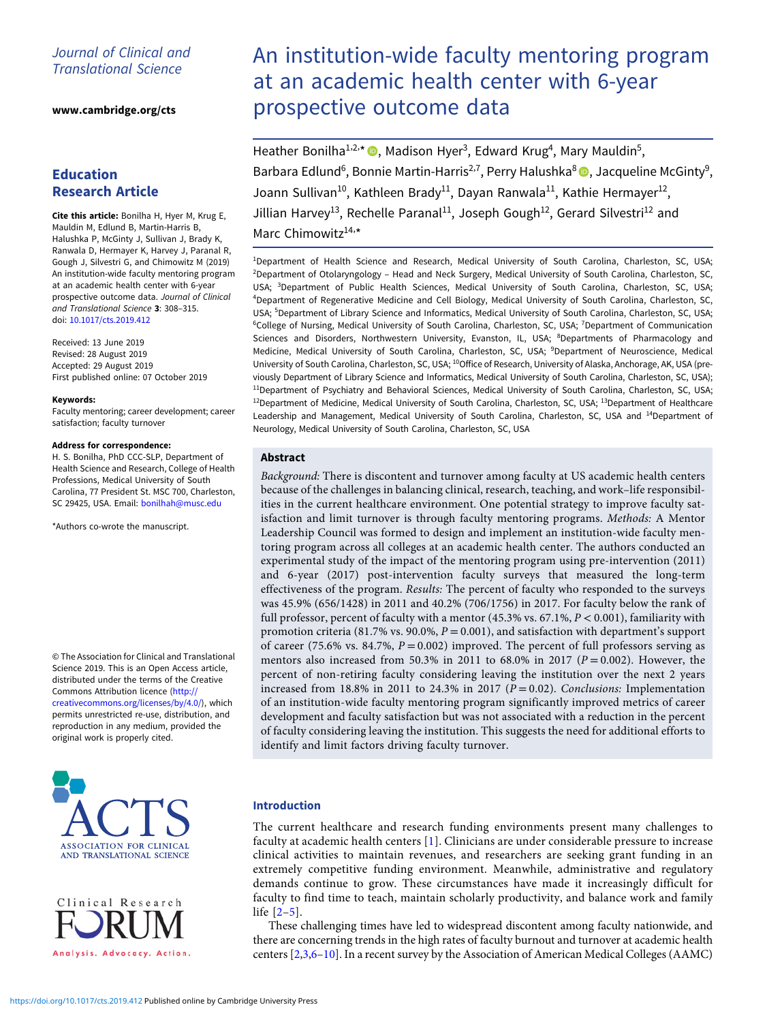# Journal of Clinical and Translational Science

[www.cambridge.org/cts](https://www.cambridge.org/cts)

# Education Research Article

Cite this article: Bonilha H, Hyer M, Krug E, Mauldin M, Edlund B, Martin-Harris B, Halushka P, McGinty J, Sullivan J, Brady K, Ranwala D, Hermayer K, Harvey J, Paranal R, Gough J, Silvestri G, and Chimowitz M (2019) An institution-wide faculty mentoring program at an academic health center with 6-year prospective outcome data. Journal of Clinical and Translational Science 3: 308–315. doi: [10.1017/cts.2019.412](https://doi.org/10.1017/cts.2019.412)

Received: 13 June 2019 Revised: 28 August 2019 Accepted: 29 August 2019 First published online: 07 October 2019

#### Keywords:

Faculty mentoring; career development; career satisfaction; faculty turnover

#### Address for correspondence:

H. S. Bonilha, PhD CCC-SLP, Department of Health Science and Research, College of Health Professions, Medical University of South Carolina, 77 President St. MSC 700, Charleston, SC 29425, USA. Email: [bonilhah@musc.edu](mailto:bonilhah@musc.edu)

\*Authors co-wrote the manuscript.

© The Association for Clinical and Translational Science 2019. This is an Open Access article, distributed under the terms of the Creative Commons Attribution licence [\(http://](http://creativecommons.org/licenses/by/4.0/) [creativecommons.org/licenses/by/4.0/](http://creativecommons.org/licenses/by/4.0/)), which permits unrestricted re-use, distribution, and reproduction in any medium, provided the original work is properly cited.





# An institution-wide faculty mentoring program at an academic health center with 6-year prospective outcome data

Heather Bonilha<sup>1,2,\*</sup> (D, Madison Hyer<sup>3</sup>, Edward Krug<sup>4</sup>, Mary Mauldin<sup>5</sup>, Barbara Edlund<sup>6</sup>, Bonnie Martin-Harris<sup>2,7</sup>, Perry Halushka<sup>8</sup> D, Jacqueline McGinty<sup>9</sup>, Joann Sullivan<sup>10</sup>, Kathleen Brady<sup>11</sup>, Dayan Ranwala<sup>11</sup>, Kathie Hermayer<sup>12</sup>, Jillian Harvey<sup>13</sup>, Rechelle Paranal<sup>11</sup>, Joseph Gough<sup>12</sup>, Gerard Silvestri<sup>12</sup> and Marc Chimowitz<sup>14,\*</sup>

<sup>1</sup>Department of Health Science and Research, Medical University of South Carolina, Charleston, SC, USA; 2 Department of Otolaryngology – Head and Neck Surgery, Medical University of South Carolina, Charleston, SC, USA; <sup>3</sup>Department of Public Health Sciences, Medical University of South Carolina, Charleston, SC, USA; 4 Department of Regenerative Medicine and Cell Biology, Medical University of South Carolina, Charleston, SC, USA; <sup>5</sup> Department of Library Science and Informatics, Medical University of South Carolina, Charleston, SC, USA; <sup>6</sup>College of Nursing, Medical University of South Carolina, Charleston, SC, USA; <sup>7</sup>Department of Communication Sciences and Disorders, Northwestern University, Evanston, IL, USA; <sup>8</sup>Departments of Pharmacology and Medicine, Medical University of South Carolina, Charleston, SC, USA; <sup>9</sup>Department of Neuroscience, Medical University of South Carolina, Charleston, SC, USA; <sup>10</sup>Office of Research, University of Alaska, Anchorage, AK, USA (previously Department of Library Science and Informatics, Medical University of South Carolina, Charleston, SC, USA); <sup>11</sup>Department of Psychiatry and Behavioral Sciences, Medical University of South Carolina, Charleston, SC, USA; <sup>12</sup>Department of Medicine, Medical University of South Carolina, Charleston, SC, USA; <sup>13</sup>Department of Healthcare Leadership and Management, Medical University of South Carolina, Charleston, SC, USA and <sup>14</sup>Department of Neurology, Medical University of South Carolina, Charleston, SC, USA

## Abstract

Background: There is discontent and turnover among faculty at US academic health centers because of the challenges in balancing clinical, research, teaching, and work–life responsibilities in the current healthcare environment. One potential strategy to improve faculty satisfaction and limit turnover is through faculty mentoring programs. Methods: A Mentor Leadership Council was formed to design and implement an institution-wide faculty mentoring program across all colleges at an academic health center. The authors conducted an experimental study of the impact of the mentoring program using pre-intervention (2011) and 6-year (2017) post-intervention faculty surveys that measured the long-term effectiveness of the program. Results: The percent of faculty who responded to the surveys was 45.9% (656/1428) in 2011 and 40.2% (706/1756) in 2017. For faculty below the rank of full professor, percent of faculty with a mentor (45.3% vs. 67.1%,  $P < 0.001$ ), familiarity with promotion criteria (81.7% vs. 90.0%,  $P = 0.001$ ), and satisfaction with department's support of career (75.6% vs. 84.7%,  $P = 0.002$ ) improved. The percent of full professors serving as mentors also increased from 50.3% in 2011 to 68.0% in 2017 ( $P = 0.002$ ). However, the percent of non-retiring faculty considering leaving the institution over the next 2 years increased from 18.8% in 2011 to 24.3% in 2017 ( $P = 0.02$ ). Conclusions: Implementation of an institution-wide faculty mentoring program significantly improved metrics of career development and faculty satisfaction but was not associated with a reduction in the percent of faculty considering leaving the institution. This suggests the need for additional efforts to identify and limit factors driving faculty turnover.

## Introduction

The current healthcare and research funding environments present many challenges to faculty at academic health centers [[1](#page-7-0)]. Clinicians are under considerable pressure to increase clinical activities to maintain revenues, and researchers are seeking grant funding in an extremely competitive funding environment. Meanwhile, administrative and regulatory demands continue to grow. These circumstances have made it increasingly difficult for faculty to find time to teach, maintain scholarly productivity, and balance work and family life [[2](#page-7-0)–[5](#page-7-0)].

These challenging times have led to widespread discontent among faculty nationwide, and there are concerning trends in the high rates of faculty burnout and turnover at academic health centers [\[2,3,6](#page-7-0)–[10](#page-7-0)]. In a recent survey by the Association of American Medical Colleges (AAMC)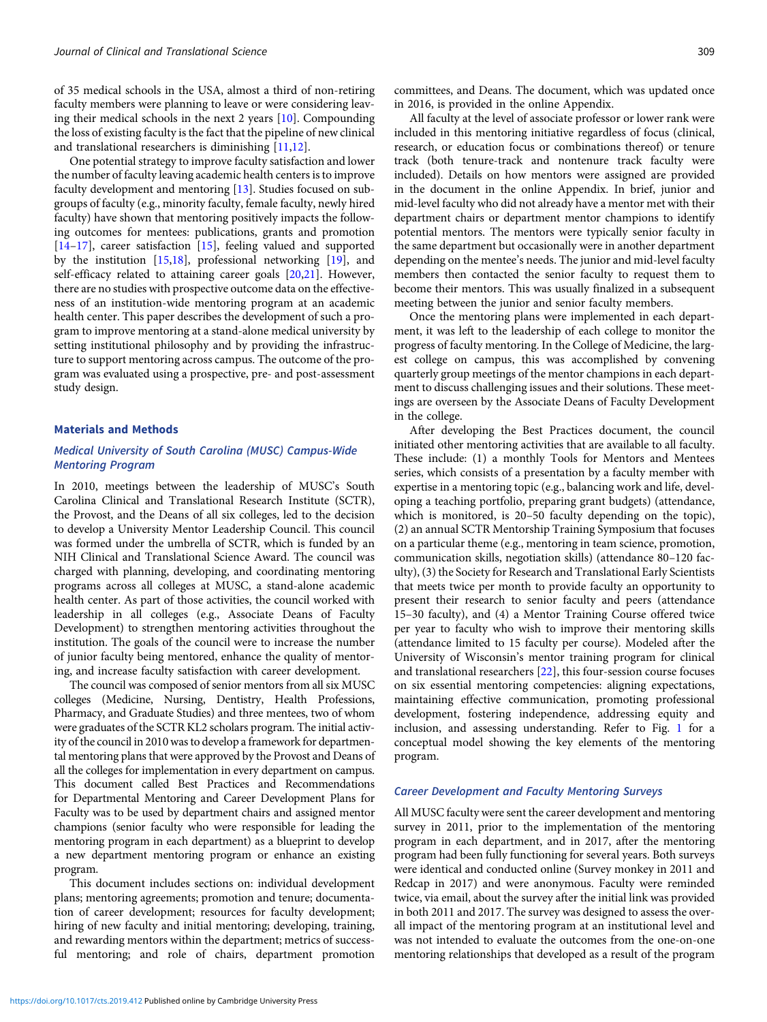of 35 medical schools in the USA, almost a third of non-retiring faculty members were planning to leave or were considering leaving their medical schools in the next 2 years [\[10](#page-7-0)]. Compounding the loss of existing faculty is the fact that the pipeline of new clinical and translational researchers is diminishing [\[11,12\]](#page-7-0).

One potential strategy to improve faculty satisfaction and lower the number of faculty leaving academic health centers is to improve faculty development and mentoring [\[13](#page-7-0)]. Studies focused on subgroups of faculty (e.g., minority faculty, female faculty, newly hired faculty) have shown that mentoring positively impacts the following outcomes for mentees: publications, grants and promotion [\[14](#page-7-0)–[17](#page-7-0)], career satisfaction [\[15](#page-7-0)], feeling valued and supported by the institution [\[15,18\]](#page-7-0), professional networking [[19\]](#page-7-0), and self-efficacy related to attaining career goals [[20,21](#page-7-0)]. However, there are no studies with prospective outcome data on the effectiveness of an institution-wide mentoring program at an academic health center. This paper describes the development of such a program to improve mentoring at a stand-alone medical university by setting institutional philosophy and by providing the infrastructure to support mentoring across campus. The outcome of the program was evaluated using a prospective, pre- and post-assessment study design.

## Materials and Methods

## Medical University of South Carolina (MUSC) Campus-Wide Mentoring Program

In 2010, meetings between the leadership of MUSC's South Carolina Clinical and Translational Research Institute (SCTR), the Provost, and the Deans of all six colleges, led to the decision to develop a University Mentor Leadership Council. This council was formed under the umbrella of SCTR, which is funded by an NIH Clinical and Translational Science Award. The council was charged with planning, developing, and coordinating mentoring programs across all colleges at MUSC, a stand-alone academic health center. As part of those activities, the council worked with leadership in all colleges (e.g., Associate Deans of Faculty Development) to strengthen mentoring activities throughout the institution. The goals of the council were to increase the number of junior faculty being mentored, enhance the quality of mentoring, and increase faculty satisfaction with career development.

The council was composed of senior mentors from all six MUSC colleges (Medicine, Nursing, Dentistry, Health Professions, Pharmacy, and Graduate Studies) and three mentees, two of whom were graduates of the SCTR KL2 scholars program. The initial activity of the council in 2010 was to develop a framework for departmental mentoring plans that were approved by the Provost and Deans of all the colleges for implementation in every department on campus. This document called Best Practices and Recommendations for Departmental Mentoring and Career Development Plans for Faculty was to be used by department chairs and assigned mentor champions (senior faculty who were responsible for leading the mentoring program in each department) as a blueprint to develop a new department mentoring program or enhance an existing program.

This document includes sections on: individual development plans; mentoring agreements; promotion and tenure; documentation of career development; resources for faculty development; hiring of new faculty and initial mentoring; developing, training, and rewarding mentors within the department; metrics of successful mentoring; and role of chairs, department promotion

All faculty at the level of associate professor or lower rank were included in this mentoring initiative regardless of focus (clinical, research, or education focus or combinations thereof) or tenure track (both tenure-track and nontenure track faculty were included). Details on how mentors were assigned are provided in the document in the online Appendix. In brief, junior and mid-level faculty who did not already have a mentor met with their department chairs or department mentor champions to identify potential mentors. The mentors were typically senior faculty in the same department but occasionally were in another department depending on the mentee's needs. The junior and mid-level faculty members then contacted the senior faculty to request them to become their mentors. This was usually finalized in a subsequent meeting between the junior and senior faculty members.

Once the mentoring plans were implemented in each department, it was left to the leadership of each college to monitor the progress of faculty mentoring. In the College of Medicine, the largest college on campus, this was accomplished by convening quarterly group meetings of the mentor champions in each department to discuss challenging issues and their solutions. These meetings are overseen by the Associate Deans of Faculty Development in the college.

After developing the Best Practices document, the council initiated other mentoring activities that are available to all faculty. These include: (1) a monthly Tools for Mentors and Mentees series, which consists of a presentation by a faculty member with expertise in a mentoring topic (e.g., balancing work and life, developing a teaching portfolio, preparing grant budgets) (attendance, which is monitored, is 20–50 faculty depending on the topic), (2) an annual SCTR Mentorship Training Symposium that focuses on a particular theme (e.g., mentoring in team science, promotion, communication skills, negotiation skills) (attendance 80–120 faculty), (3) the Society for Research and Translational Early Scientists that meets twice per month to provide faculty an opportunity to present their research to senior faculty and peers (attendance 15–30 faculty), and (4) a Mentor Training Course offered twice per year to faculty who wish to improve their mentoring skills (attendance limited to 15 faculty per course). Modeled after the University of Wisconsin's mentor training program for clinical and translational researchers [[22](#page-7-0)], this four-session course focuses on six essential mentoring competencies: aligning expectations, maintaining effective communication, promoting professional development, fostering independence, addressing equity and inclusion, and assessing understanding. Refer to Fig. [1](#page-2-0) for a conceptual model showing the key elements of the mentoring program.

## Career Development and Faculty Mentoring Surveys

All MUSC faculty were sent the career development and mentoring survey in 2011, prior to the implementation of the mentoring program in each department, and in 2017, after the mentoring program had been fully functioning for several years. Both surveys were identical and conducted online (Survey monkey in 2011 and Redcap in 2017) and were anonymous. Faculty were reminded twice, via email, about the survey after the initial link was provided in both 2011 and 2017. The survey was designed to assess the overall impact of the mentoring program at an institutional level and was not intended to evaluate the outcomes from the one-on-one mentoring relationships that developed as a result of the program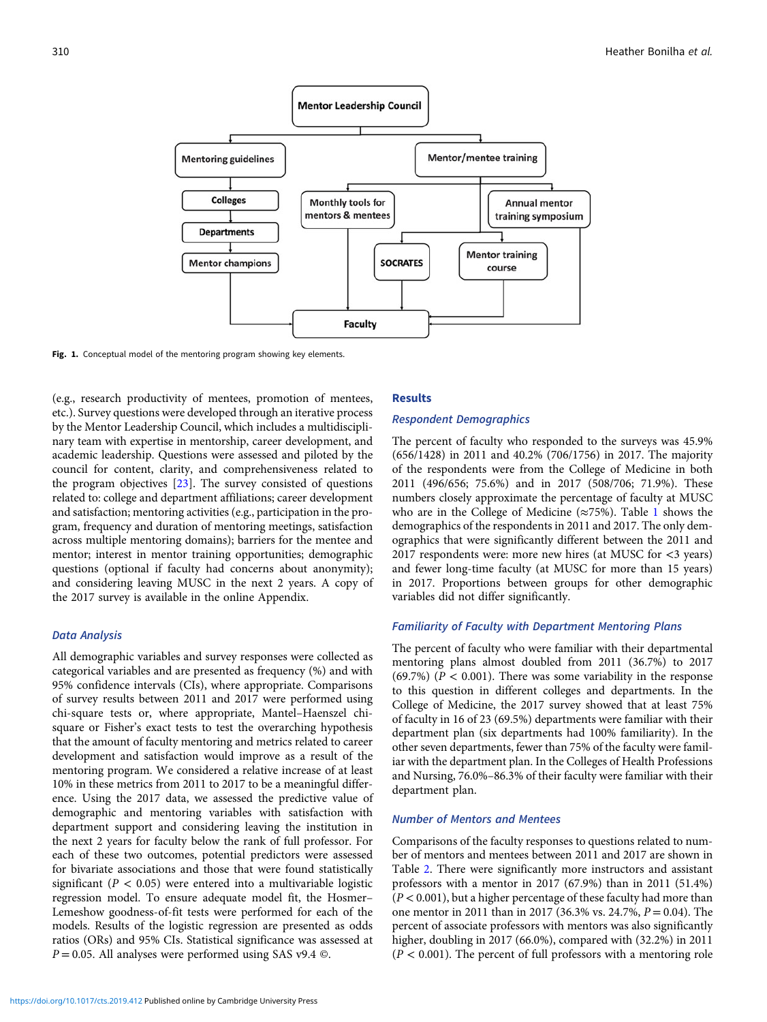<span id="page-2-0"></span>

Fig. 1. Conceptual model of the mentoring program showing key elements.

(e.g., research productivity of mentees, promotion of mentees, etc.). Survey questions were developed through an iterative process by the Mentor Leadership Council, which includes a multidisciplinary team with expertise in mentorship, career development, and academic leadership. Questions were assessed and piloted by the council for content, clarity, and comprehensiveness related to the program objectives [\[23](#page-7-0)]. The survey consisted of questions related to: college and department affiliations; career development and satisfaction; mentoring activities (e.g., participation in the program, frequency and duration of mentoring meetings, satisfaction across multiple mentoring domains); barriers for the mentee and mentor; interest in mentor training opportunities; demographic questions (optional if faculty had concerns about anonymity); and considering leaving MUSC in the next 2 years. A copy of the 2017 survey is available in the online Appendix.

## Data Analysis

All demographic variables and survey responses were collected as categorical variables and are presented as frequency (%) and with 95% confidence intervals (CIs), where appropriate. Comparisons of survey results between 2011 and 2017 were performed using chi-square tests or, where appropriate, Mantel–Haenszel chisquare or Fisher's exact tests to test the overarching hypothesis that the amount of faculty mentoring and metrics related to career development and satisfaction would improve as a result of the mentoring program. We considered a relative increase of at least 10% in these metrics from 2011 to 2017 to be a meaningful difference. Using the 2017 data, we assessed the predictive value of demographic and mentoring variables with satisfaction with department support and considering leaving the institution in the next 2 years for faculty below the rank of full professor. For each of these two outcomes, potential predictors were assessed for bivariate associations and those that were found statistically significant ( $P < 0.05$ ) were entered into a multivariable logistic regression model. To ensure adequate model fit, the Hosmer– Lemeshow goodness-of-fit tests were performed for each of the models. Results of the logistic regression are presented as odds ratios (ORs) and 95% CIs. Statistical significance was assessed at  $P = 0.05$ . All analyses were performed using SAS v9.4  $\odot$ .

#### Results

#### Respondent Demographics

The percent of faculty who responded to the surveys was 45.9% (656/1428) in 2011 and 40.2% (706/1756) in 2017. The majority of the respondents were from the College of Medicine in both 2011 (496/656; 75.6%) and in 2017 (508/706; 71.9%). These numbers closely approximate the percentage of faculty at MUSC who are in the College of Medicine (≈75%). Table [1](#page-3-0) shows the demographics of the respondents in 2011 and 2017. The only demographics that were significantly different between the 2011 and 2017 respondents were: more new hires (at MUSC for <3 years) and fewer long-time faculty (at MUSC for more than 15 years) in 2017. Proportions between groups for other demographic variables did not differ significantly.

## Familiarity of Faculty with Department Mentoring Plans

The percent of faculty who were familiar with their departmental mentoring plans almost doubled from 2011 (36.7%) to 2017 (69.7%) ( $P < 0.001$ ). There was some variability in the response to this question in different colleges and departments. In the College of Medicine, the 2017 survey showed that at least 75% of faculty in 16 of 23 (69.5%) departments were familiar with their department plan (six departments had 100% familiarity). In the other seven departments, fewer than 75% of the faculty were familiar with the department plan. In the Colleges of Health Professions and Nursing, 76.0%–86.3% of their faculty were familiar with their department plan.

#### Number of Mentors and Mentees

Comparisons of the faculty responses to questions related to number of mentors and mentees between 2011 and 2017 are shown in Table [2.](#page-4-0) There were significantly more instructors and assistant professors with a mentor in 2017 (67.9%) than in 2011 (51.4%)  $(P < 0.001)$ , but a higher percentage of these faculty had more than one mentor in 2011 than in 2017 (36.3% vs. 24.7%,  $P = 0.04$ ). The percent of associate professors with mentors was also significantly higher, doubling in 2017 (66.0%), compared with (32.2%) in 2011  $(P < 0.001)$ . The percent of full professors with a mentoring role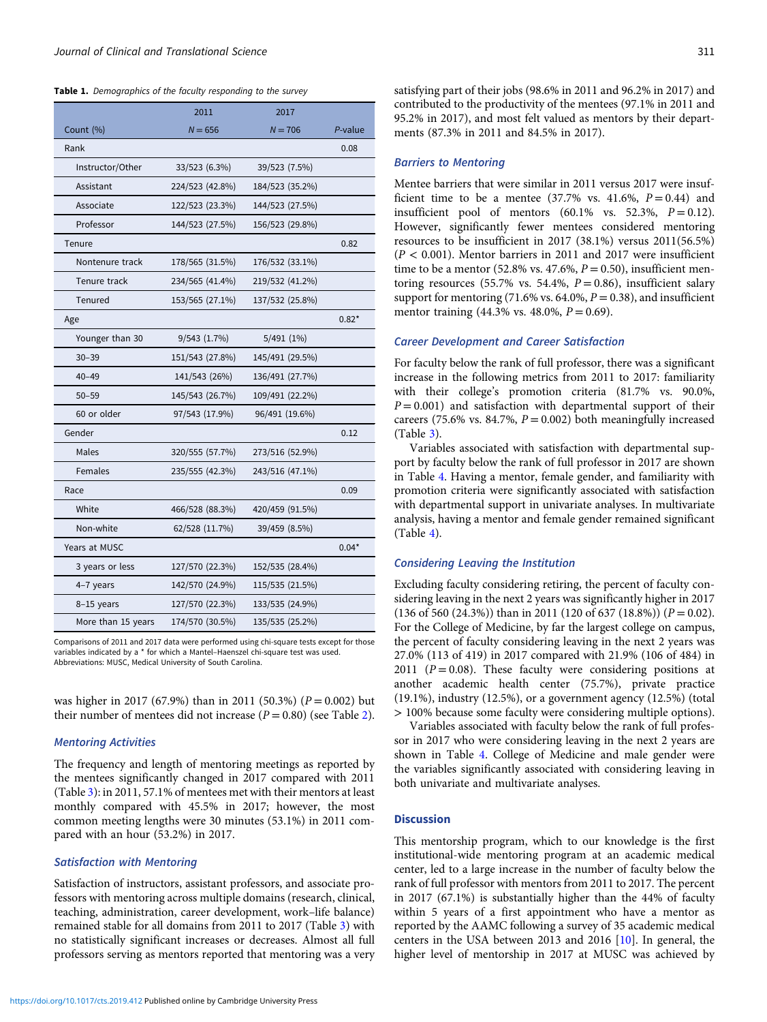<span id="page-3-0"></span>Table 1. Demographics of the faculty responding to the survey

|                    | 2011              | 2017            |         |
|--------------------|-------------------|-----------------|---------|
| Count (%)          | $N = 656$         | $N = 706$       | P-value |
| Rank               |                   |                 | 0.08    |
| Instructor/Other   | 33/523 (6.3%)     | 39/523 (7.5%)   |         |
| Assistant          | 224/523 (42.8%)   | 184/523 (35.2%) |         |
| Associate          | 122/523 (23.3%)   | 144/523 (27.5%) |         |
| Professor          | 144/523 (27.5%)   | 156/523 (29.8%) |         |
| Tenure             |                   |                 | 0.82    |
| Nontenure track    | 178/565 (31.5%)   | 176/532 (33.1%) |         |
| Tenure track       | 234/565 (41.4%)   | 219/532 (41.2%) |         |
| Tenured            | 153/565 (27.1%)   | 137/532 (25.8%) |         |
| Age                |                   |                 | $0.82*$ |
| Younger than 30    | $9/543$ $(1.7\%)$ | 5/491 (1%)      |         |
| $30 - 39$          | 151/543 (27.8%)   | 145/491 (29.5%) |         |
| $40 - 49$          | 141/543 (26%)     | 136/491 (27.7%) |         |
| $50 - 59$          | 145/543 (26.7%)   | 109/491 (22.2%) |         |
| 60 or older        | 97/543 (17.9%)    | 96/491 (19.6%)  |         |
| Gender             |                   |                 | 0.12    |
| Males              | 320/555 (57.7%)   | 273/516 (52.9%) |         |
| Females            | 235/555 (42.3%)   | 243/516 (47.1%) |         |
| Race               |                   |                 | 0.09    |
| White              | 466/528 (88.3%)   | 420/459 (91.5%) |         |
| Non-white          | 62/528 (11.7%)    | 39/459 (8.5%)   |         |
| Years at MUSC      |                   |                 | $0.04*$ |
| 3 years or less    | 127/570 (22.3%)   | 152/535 (28.4%) |         |
| 4-7 years          | 142/570 (24.9%)   | 115/535 (21.5%) |         |
| 8-15 years         | 127/570 (22.3%)   | 133/535 (24.9%) |         |
| More than 15 years | 174/570 (30.5%)   | 135/535 (25.2%) |         |

Comparisons of 2011 and 2017 data were performed using chi-square tests except for those variables indicated by a \* for which a Mantel–Haenszel chi-square test was used. Abbreviations: MUSC, Medical University of South Carolina.

was higher in 2017 (67.9%) than in 2011 (50.3%) ( $P = 0.002$ ) but their number of mentees did not increase  $(P = 0.80)$  (see Table [2\)](#page-4-0).

#### Mentoring Activities

The frequency and length of mentoring meetings as reported by the mentees significantly changed in 2017 compared with 2011 (Table [3\)](#page-5-0): in 2011, 57.1% of mentees met with their mentors at least monthly compared with 45.5% in 2017; however, the most common meeting lengths were 30 minutes (53.1%) in 2011 compared with an hour (53.2%) in 2017.

## Satisfaction with Mentoring

Satisfaction of instructors, assistant professors, and associate professors with mentoring across multiple domains (research, clinical, teaching, administration, career development, work–life balance) remained stable for all domains from 2011 to 2017 (Table [3](#page-5-0)) with no statistically significant increases or decreases. Almost all full professors serving as mentors reported that mentoring was a very satisfying part of their jobs (98.6% in 2011 and 96.2% in 2017) and contributed to the productivity of the mentees (97.1% in 2011 and 95.2% in 2017), and most felt valued as mentors by their departments (87.3% in 2011 and 84.5% in 2017).

## Barriers to Mentoring

Mentee barriers that were similar in 2011 versus 2017 were insufficient time to be a mentee  $(37.7\%$  vs.  $41.6\%$ ,  $P = 0.44$  and insufficient pool of mentors  $(60.1\% \text{ vs. } 52.3\%, P = 0.12)$ . However, significantly fewer mentees considered mentoring resources to be insufficient in 2017 (38.1%) versus 2011(56.5%)  $(P < 0.001)$ . Mentor barriers in 2011 and 2017 were insufficient time to be a mentor (52.8% vs. 47.6%,  $P = 0.50$ ), insufficient mentoring resources (55.7% vs. 54.4%,  $P = 0.86$ ), insufficient salary support for mentoring (71.6% vs. 64.0%,  $P = 0.38$ ), and insufficient mentor training  $(44.3\% \text{ vs. } 48.0\%, P = 0.69)$ .

#### Career Development and Career Satisfaction

For faculty below the rank of full professor, there was a significant increase in the following metrics from 2011 to 2017: familiarity with their college's promotion criteria (81.7% vs. 90.0%,  $P = 0.001$ ) and satisfaction with departmental support of their careers (75.6% vs. 84.7%,  $P = 0.002$ ) both meaningfully increased (Table [3\)](#page-5-0).

Variables associated with satisfaction with departmental support by faculty below the rank of full professor in 2017 are shown in Table [4.](#page-6-0) Having a mentor, female gender, and familiarity with promotion criteria were significantly associated with satisfaction with departmental support in univariate analyses. In multivariate analysis, having a mentor and female gender remained significant (Table [4\)](#page-6-0).

## Considering Leaving the Institution

Excluding faculty considering retiring, the percent of faculty considering leaving in the next 2 years was significantly higher in 2017  $(136 \text{ of } 560 (24.3\%))$  than in 2011  $(120 \text{ of } 637 (18.8\%))$   $(P = 0.02)$ . For the College of Medicine, by far the largest college on campus, the percent of faculty considering leaving in the next 2 years was 27.0% (113 of 419) in 2017 compared with 21.9% (106 of 484) in 2011 ( $P = 0.08$ ). These faculty were considering positions at another academic health center (75.7%), private practice (19.1%), industry (12.5%), or a government agency (12.5%) (total > 100% because some faculty were considering multiple options).

Variables associated with faculty below the rank of full professor in 2017 who were considering leaving in the next 2 years are shown in Table [4.](#page-6-0) College of Medicine and male gender were the variables significantly associated with considering leaving in both univariate and multivariate analyses.

#### **Discussion**

This mentorship program, which to our knowledge is the first institutional-wide mentoring program at an academic medical center, led to a large increase in the number of faculty below the rank of full professor with mentors from 2011 to 2017. The percent in 2017 (67.1%) is substantially higher than the 44% of faculty within 5 years of a first appointment who have a mentor as reported by the AAMC following a survey of 35 academic medical centers in the USA between 2013 and 2016 [\[10](#page-7-0)]. In general, the higher level of mentorship in 2017 at MUSC was achieved by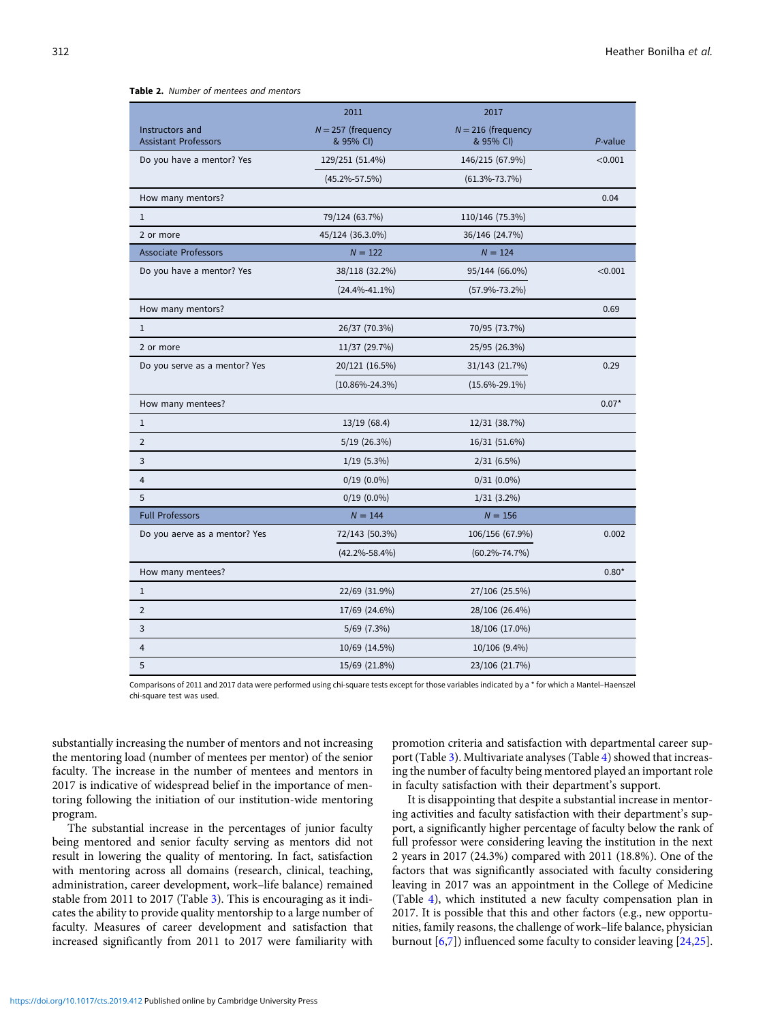|                                                | 2011                              | 2017                              |         |
|------------------------------------------------|-----------------------------------|-----------------------------------|---------|
| Instructors and<br><b>Assistant Professors</b> | $N = 257$ (frequency<br>& 95% CI) | $N = 216$ (frequency<br>& 95% CI) | P-value |
| Do you have a mentor? Yes                      | 129/251 (51.4%)                   | 146/215 (67.9%)                   | < 0.001 |
|                                                | $(45.2\% - 57.5\%)$               | $(61.3\% - 73.7\%)$               |         |
| How many mentors?                              |                                   |                                   | 0.04    |
| $\mathbf{1}$                                   | 79/124 (63.7%)                    | 110/146 (75.3%)                   |         |
| 2 or more                                      | 45/124 (36.3.0%)                  | 36/146 (24.7%)                    |         |
| <b>Associate Professors</b>                    | $N = 122$                         | $N = 124$                         |         |
| Do you have a mentor? Yes                      | 38/118 (32.2%)                    | 95/144 (66.0%)                    | < 0.001 |
|                                                | $(24.4\% - 41.1\%)$               | $(57.9\% - 73.2\%)$               |         |
| How many mentors?                              |                                   |                                   | 0.69    |
| $\mathbf{1}$                                   | 26/37 (70.3%)                     | 70/95 (73.7%)                     |         |
| 2 or more                                      | 11/37 (29.7%)                     | 25/95 (26.3%)                     |         |
| Do you serve as a mentor? Yes                  | 20/121 (16.5%)                    | 31/143 (21.7%)                    | 0.29    |
|                                                | $(10.86\% - 24.3\%)$              | $(15.6\% - 29.1\%)$               |         |
| How many mentees?                              |                                   |                                   | $0.07*$ |
| $\mathbf 1$                                    | 13/19 (68.4)                      | 12/31 (38.7%)                     |         |
| 2                                              | 5/19 (26.3%)                      | 16/31 (51.6%)                     |         |
| 3                                              | $1/19$ (5.3%)                     | $2/31(6.5\%)$                     |         |
| 4                                              | $0/19(0.0\%)$                     | $0/31$ $(0.0\%)$                  |         |
| 5                                              | $0/19$ $(0.0\%)$                  | $1/31$ (3.2%)                     |         |
| <b>Full Professors</b>                         | $N = 144$                         | $N = 156$                         |         |
| Do you aerve as a mentor? Yes                  | 72/143 (50.3%)                    | 106/156 (67.9%)                   | 0.002   |
|                                                | $(42.2\% - 58.4\%)$               | $(60.2\% - 74.7\%)$               |         |
| How many mentees?                              |                                   |                                   | $0.80*$ |
| $\mathbf{1}$                                   | 22/69 (31.9%)                     | 27/106 (25.5%)                    |         |
| 2                                              | 17/69 (24.6%)                     | 28/106 (26.4%)                    |         |
| 3                                              | 5/69 (7.3%)                       | 18/106 (17.0%)                    |         |
| 4                                              | 10/69 (14.5%)                     | 10/106 (9.4%)                     |         |
| 5                                              | 15/69 (21.8%)                     | 23/106 (21.7%)                    |         |

#### <span id="page-4-0"></span>Table 2. Number of mentees and mentors

Comparisons of 2011 and 2017 data were performed using chi-square tests except for those variables indicated by a \* for which a Mantel–Haenszel chi-square test was used.

substantially increasing the number of mentors and not increasing the mentoring load (number of mentees per mentor) of the senior faculty. The increase in the number of mentees and mentors in 2017 is indicative of widespread belief in the importance of mentoring following the initiation of our institution-wide mentoring program.

The substantial increase in the percentages of junior faculty being mentored and senior faculty serving as mentors did not result in lowering the quality of mentoring. In fact, satisfaction with mentoring across all domains (research, clinical, teaching, administration, career development, work–life balance) remained stable from 2011 to 2017 (Table [3](#page-5-0)). This is encouraging as it indicates the ability to provide quality mentorship to a large number of faculty. Measures of career development and satisfaction that increased significantly from 2011 to 2017 were familiarity with

promotion criteria and satisfaction with departmental career support (Table [3\)](#page-5-0). Multivariate analyses (Table [4\)](#page-6-0) showed that increasing the number of faculty being mentored played an important role in faculty satisfaction with their department's support.

It is disappointing that despite a substantial increase in mentoring activities and faculty satisfaction with their department's support, a significantly higher percentage of faculty below the rank of full professor were considering leaving the institution in the next 2 years in 2017 (24.3%) compared with 2011 (18.8%). One of the factors that was significantly associated with faculty considering leaving in 2017 was an appointment in the College of Medicine (Table [4](#page-6-0)), which instituted a new faculty compensation plan in 2017. It is possible that this and other factors (e.g., new opportunities, family reasons, the challenge of work–life balance, physician burnout [[6,7\]](#page-7-0)) influenced some faculty to consider leaving [[24,25](#page-7-0)].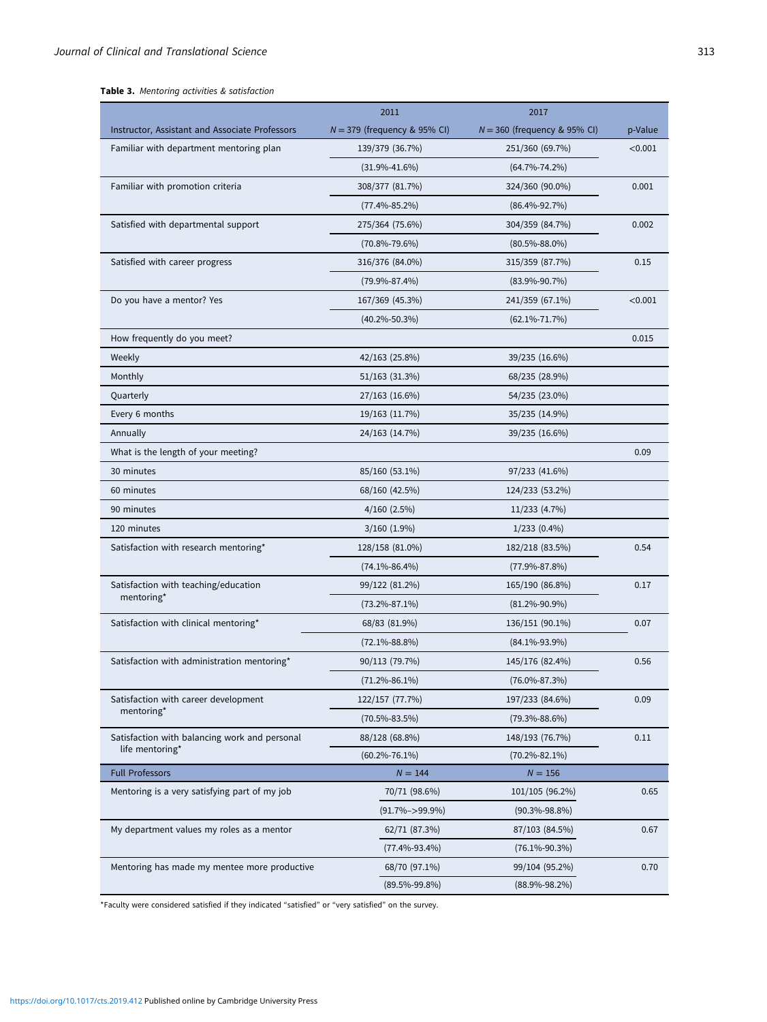## <span id="page-5-0"></span>Table 3. Mentoring activities & satisfaction

|                                                | 2011                           | 2017                           |         |  |
|------------------------------------------------|--------------------------------|--------------------------------|---------|--|
| Instructor, Assistant and Associate Professors | $N = 379$ (frequency & 95% CI) | $N = 360$ (frequency & 95% CI) | p-Value |  |
| Familiar with department mentoring plan        | 139/379 (36.7%)                | 251/360 (69.7%)                | < 0.001 |  |
|                                                | $(31.9\% - 41.6\%)$            | $(64.7\% - 74.2\%)$            |         |  |
| Familiar with promotion criteria               | 308/377 (81.7%)                | 324/360 (90.0%)                | 0.001   |  |
|                                                | $(77.4\% - 85.2\%)$            | $(86.4\% - 92.7\%)$            |         |  |
| Satisfied with departmental support            | 275/364 (75.6%)                | 304/359 (84.7%)                | 0.002   |  |
|                                                | $(70.8\% - 79.6\%)$            | $(80.5\% - 88.0\%)$            |         |  |
| Satisfied with career progress                 | 316/376 (84.0%)                | 315/359 (87.7%)                | 0.15    |  |
|                                                | $(79.9\% - 87.4\%)$            | $(83.9\% - 90.7\%)$            |         |  |
| Do you have a mentor? Yes                      | 167/369 (45.3%)                | 241/359 (67.1%)                | < 0.001 |  |
|                                                | $(40.2\% - 50.3\%)$            | $(62.1\% - 71.7\%)$            |         |  |
| How frequently do you meet?                    |                                |                                | 0.015   |  |
| Weekly                                         | 42/163 (25.8%)                 | 39/235 (16.6%)                 |         |  |
| Monthly                                        | 51/163 (31.3%)                 | 68/235 (28.9%)                 |         |  |
| Quarterly                                      | 27/163 (16.6%)                 | 54/235 (23.0%)                 |         |  |
| Every 6 months                                 | 19/163 (11.7%)                 | 35/235 (14.9%)                 |         |  |
| Annually                                       | 24/163 (14.7%)                 | 39/235 (16.6%)                 |         |  |
| What is the length of your meeting?            |                                |                                | 0.09    |  |
| 30 minutes                                     | 85/160 (53.1%)                 | 97/233 (41.6%)                 |         |  |
| 60 minutes                                     | 68/160 (42.5%)                 | 124/233 (53.2%)                |         |  |
| 90 minutes                                     | $4/160$ (2.5%)                 | 11/233 (4.7%)                  |         |  |
| 120 minutes                                    | 3/160 (1.9%)                   | $1/233(0.4\%)$                 |         |  |
| Satisfaction with research mentoring*          | 128/158 (81.0%)                | 182/218 (83.5%)                | 0.54    |  |
|                                                | $(74.1\% - 86.4\%)$            | $(77.9\% - 87.8\%)$            |         |  |
| Satisfaction with teaching/education           | 99/122 (81.2%)                 | 165/190 (86.8%)                | 0.17    |  |
| mentoring*                                     | $(73.2\% - 87.1\%)$            | $(81.2\% - 90.9\%)$            |         |  |
| Satisfaction with clinical mentoring*          | 68/83 (81.9%)                  | 136/151 (90.1%)                | 0.07    |  |
|                                                | $(72.1\% - 88.8\%)$            | $(84.1\% - 93.9\%)$            |         |  |
| Satisfaction with administration mentoring*    | 90/113 (79.7%)                 | 145/176 (82.4%)                | 0.56    |  |
|                                                | $(71.2\% - 86.1\%)$            | $(76.0\% - 87.3\%)$            |         |  |
| Satisfaction with career development           | 122/157 (77.7%)                | 197/233 (84.6%)                | 0.09    |  |
| mentoring*                                     | $(70.5\% - 83.5\%)$            | $(79.3\% - 88.6\%)$            |         |  |
| Satisfaction with balancing work and personal  | 88/128 (68.8%)                 | 148/193 (76.7%)                | 0.11    |  |
| life mentoring*                                | $(60.2\% - 76.1\%)$            | $(70.2\% - 82.1\%)$            |         |  |
| <b>Full Professors</b>                         | $N = 144$                      | $N = 156$                      |         |  |
| Mentoring is a very satisfying part of my job  | 70/71 (98.6%)                  | 101/105 (96.2%)                | 0.65    |  |
|                                                | $(91.7\% - > 99.9\%)$          | $(90.3\% - 98.8\%)$            |         |  |
| My department values my roles as a mentor      | 62/71 (87.3%)                  | 87/103 (84.5%)                 | 0.67    |  |
|                                                | $(77.4\% - 93.4\%)$            | $(76.1\% - 90.3\%)$            |         |  |
| Mentoring has made my mentee more productive   | 68/70 (97.1%)                  | 99/104 (95.2%)                 | 0.70    |  |
|                                                | $(89.5\% - 99.8\%)$            | $(88.9\% - 98.2\%)$            |         |  |

\*Faculty were considered satisfied if they indicated "satisfied" or "very satisfied" on the survey.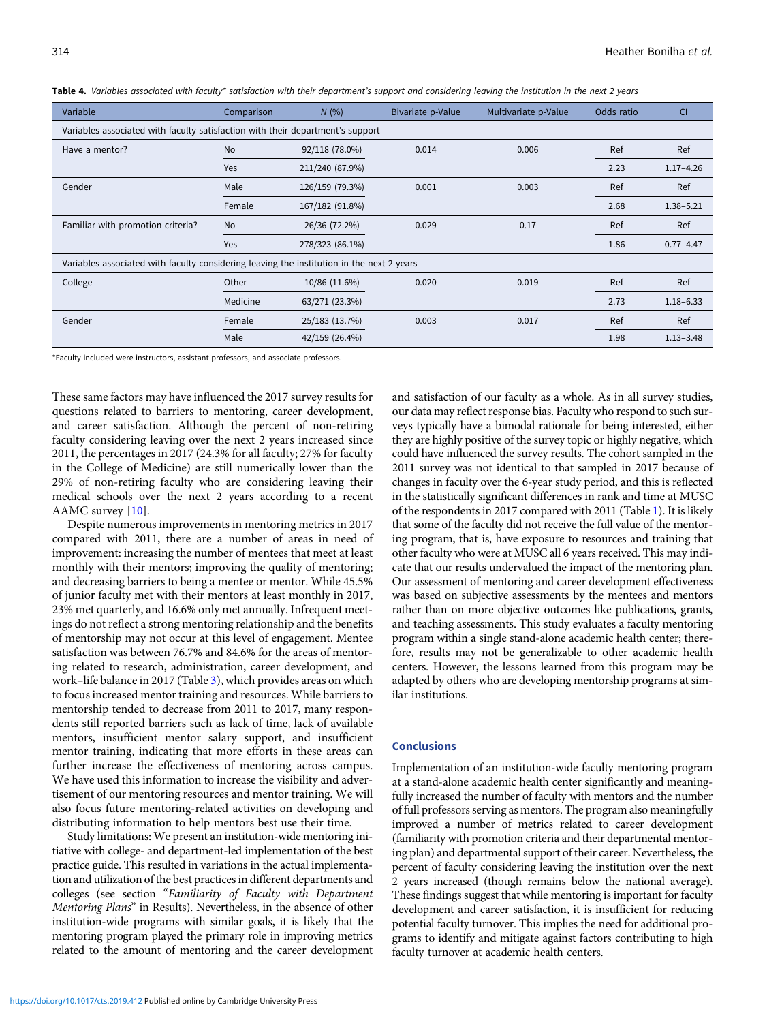| Variable                                                                                  | Comparison | N(96)           | Bivariate p-Value | Multivariate p-Value | Odds ratio | <b>CI</b>     |  |
|-------------------------------------------------------------------------------------------|------------|-----------------|-------------------|----------------------|------------|---------------|--|
| Variables associated with faculty satisfaction with their department's support            |            |                 |                   |                      |            |               |  |
| Have a mentor?                                                                            | <b>No</b>  | 92/118 (78.0%)  | 0.014             | 0.006                | Ref        | Ref           |  |
|                                                                                           | Yes        | 211/240 (87.9%) |                   |                      | 2.23       | $1.17 - 4.26$ |  |
| Gender                                                                                    | Male       | 126/159 (79.3%) | 0.001             | 0.003                | Ref        | Ref           |  |
|                                                                                           | Female     | 167/182 (91.8%) |                   |                      | 2.68       | $1.38 - 5.21$ |  |
| Familiar with promotion criteria?                                                         | <b>No</b>  | 26/36 (72.2%)   | 0.029             | 0.17                 | Ref        | Ref           |  |
|                                                                                           | Yes        | 278/323 (86.1%) |                   |                      | 1.86       | $0.77 - 4.47$ |  |
| Variables associated with faculty considering leaving the institution in the next 2 years |            |                 |                   |                      |            |               |  |
| College                                                                                   | Other      | 10/86 (11.6%)   | 0.020             | 0.019                | Ref        | Ref           |  |
|                                                                                           | Medicine   | 63/271 (23.3%)  |                   |                      | 2.73       | $1.18 - 6.33$ |  |
| Gender                                                                                    | Female     | 25/183 (13.7%)  | 0.003             | 0.017                | Ref        | Ref           |  |
|                                                                                           | Male       | 42/159 (26.4%)  |                   |                      | 1.98       | $1.13 - 3.48$ |  |

<span id="page-6-0"></span>Table 4. Variables associated with faculty\* satisfaction with their department's support and considering leaving the institution in the next 2 years

\*Faculty included were instructors, assistant professors, and associate professors.

These same factors may have influenced the 2017 survey results for questions related to barriers to mentoring, career development, and career satisfaction. Although the percent of non-retiring faculty considering leaving over the next 2 years increased since 2011, the percentages in 2017 (24.3% for all faculty; 27% for faculty in the College of Medicine) are still numerically lower than the 29% of non-retiring faculty who are considering leaving their medical schools over the next 2 years according to a recent AAMC survey [[10\]](#page-7-0).

Despite numerous improvements in mentoring metrics in 2017 compared with 2011, there are a number of areas in need of improvement: increasing the number of mentees that meet at least monthly with their mentors; improving the quality of mentoring; and decreasing barriers to being a mentee or mentor. While 45.5% of junior faculty met with their mentors at least monthly in 2017, 23% met quarterly, and 16.6% only met annually. Infrequent meetings do not reflect a strong mentoring relationship and the benefits of mentorship may not occur at this level of engagement. Mentee satisfaction was between 76.7% and 84.6% for the areas of mentoring related to research, administration, career development, and work–life balance in 2017 (Table [3](#page-5-0)), which provides areas on which to focus increased mentor training and resources. While barriers to mentorship tended to decrease from 2011 to 2017, many respondents still reported barriers such as lack of time, lack of available mentors, insufficient mentor salary support, and insufficient mentor training, indicating that more efforts in these areas can further increase the effectiveness of mentoring across campus. We have used this information to increase the visibility and advertisement of our mentoring resources and mentor training. We will also focus future mentoring-related activities on developing and distributing information to help mentors best use their time.

Study limitations: We present an institution-wide mentoring initiative with college- and department-led implementation of the best practice guide. This resulted in variations in the actual implementation and utilization of the best practices in different departments and colleges (see section "Familiarity of Faculty with Department Mentoring Plans" in Results). Nevertheless, in the absence of other institution-wide programs with similar goals, it is likely that the mentoring program played the primary role in improving metrics related to the amount of mentoring and the career development

and satisfaction of our faculty as a whole. As in all survey studies, our data may reflect response bias. Faculty who respond to such surveys typically have a bimodal rationale for being interested, either they are highly positive of the survey topic or highly negative, which could have influenced the survey results. The cohort sampled in the 2011 survey was not identical to that sampled in 2017 because of changes in faculty over the 6-year study period, and this is reflected in the statistically significant differences in rank and time at MUSC of the respondents in 2017 compared with 2011 (Table [1](#page-3-0)). It is likely that some of the faculty did not receive the full value of the mentoring program, that is, have exposure to resources and training that other faculty who were at MUSC all 6 years received. This may indicate that our results undervalued the impact of the mentoring plan. Our assessment of mentoring and career development effectiveness was based on subjective assessments by the mentees and mentors rather than on more objective outcomes like publications, grants, and teaching assessments. This study evaluates a faculty mentoring program within a single stand-alone academic health center; therefore, results may not be generalizable to other academic health centers. However, the lessons learned from this program may be adapted by others who are developing mentorship programs at similar institutions.

## Conclusions

Implementation of an institution-wide faculty mentoring program at a stand-alone academic health center significantly and meaningfully increased the number of faculty with mentors and the number of full professors serving as mentors. The program also meaningfully improved a number of metrics related to career development (familiarity with promotion criteria and their departmental mentoring plan) and departmental support of their career. Nevertheless, the percent of faculty considering leaving the institution over the next 2 years increased (though remains below the national average). These findings suggest that while mentoring is important for faculty development and career satisfaction, it is insufficient for reducing potential faculty turnover. This implies the need for additional programs to identify and mitigate against factors contributing to high faculty turnover at academic health centers.